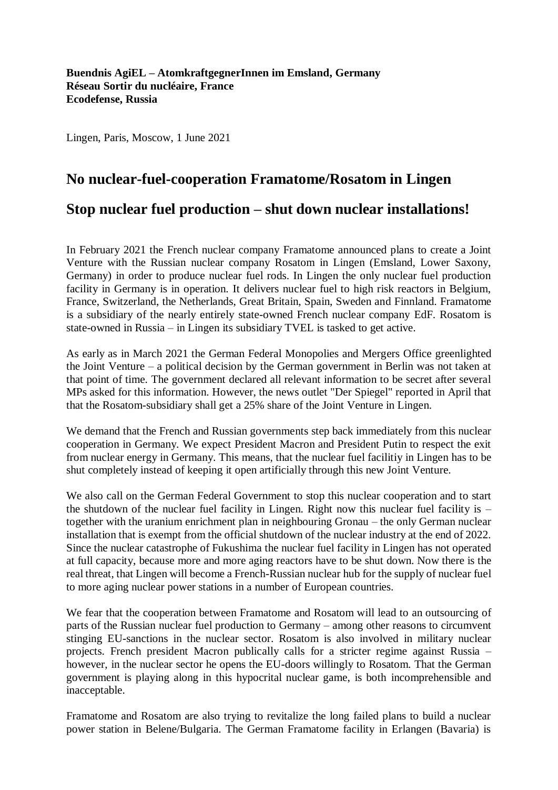Lingen, Paris, Moscow, 1 June 2021

## **No nuclear-fuel-cooperation Framatome/Rosatom in Lingen**

## **Stop nuclear fuel production – shut down nuclear installations!**

In February 2021 the French nuclear company Framatome announced plans to create a Joint Venture with the Russian nuclear company Rosatom in Lingen (Emsland, Lower Saxony, Germany) in order to produce nuclear fuel rods. In Lingen the only nuclear fuel production facility in Germany is in operation. It delivers nuclear fuel to high risk reactors in Belgium, France, Switzerland, the Netherlands, Great Britain, Spain, Sweden and Finnland. Framatome is a subsidiary of the nearly entirely state-owned French nuclear company EdF. Rosatom is state-owned in Russia – in Lingen its subsidiary TVEL is tasked to get active.

As early as in March 2021 the German Federal Monopolies and Mergers Office greenlighted the Joint Venture – a political decision by the German government in Berlin was not taken at that point of time. The government declared all relevant information to be secret after several MPs asked for this information. However, the news outlet "Der Spiegel" reported in April that that the Rosatom-subsidiary shall get a 25% share of the Joint Venture in Lingen.

We demand that the French and Russian governments step back immediately from this nuclear cooperation in Germany. We expect President Macron and President Putin to respect the exit from nuclear energy in Germany. This means, that the nuclear fuel facilitiy in Lingen has to be shut completely instead of keeping it open artificially through this new Joint Venture.

We also call on the German Federal Government to stop this nuclear cooperation and to start the shutdown of the nuclear fuel facility in Lingen. Right now this nuclear fuel facility is – together with the uranium enrichment plan in neighbouring Gronau – the only German nuclear installation that is exempt from the official shutdown of the nuclear industry at the end of 2022. Since the nuclear catastrophe of Fukushima the nuclear fuel facility in Lingen has not operated at full capacity, because more and more aging reactors have to be shut down. Now there is the real threat, that Lingen will become a French-Russian nuclear hub for the supply of nuclear fuel to more aging nuclear power stations in a number of European countries.

We fear that the cooperation between Framatome and Rosatom will lead to an outsourcing of parts of the Russian nuclear fuel production to Germany – among other reasons to circumvent stinging EU-sanctions in the nuclear sector. Rosatom is also involved in military nuclear projects. French president Macron publically calls for a stricter regime against Russia – however, in the nuclear sector he opens the EU-doors willingly to Rosatom. That the German government is playing along in this hypocrital nuclear game, is both incomprehensible and inacceptable.

Framatome and Rosatom are also trying to revitalize the long failed plans to build a nuclear power station in Belene/Bulgaria. The German Framatome facility in Erlangen (Bavaria) is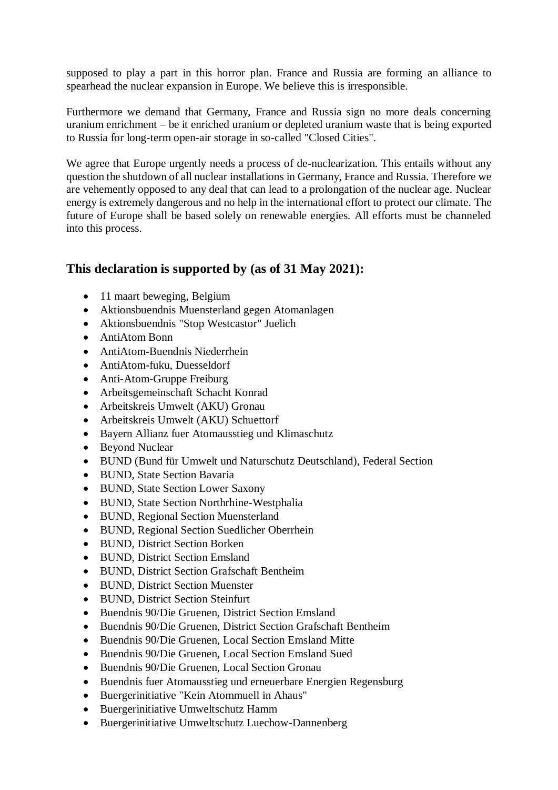supposed to play a part in this horror plan. France and Russia are forming an alliance to spearhead the nuclear expansion in Europe. We believe this is irresponsible.

Furthermore we demand that Germany, France and Russia sign no more deals concerning uranium enrichment – be it enriched uranium or depleted uranium waste that is being exported to Russia for long-term open-air storage in so-called "Closed Cities".

We agree that Europe urgently needs a process of de-nuclearization. This entails without any question the shutdown of all nuclear installations in Germany, France and Russia. Therefore we are vehemently opposed to any deal that can lead to a prolongation of the nuclear age. Nuclear energy is extremely dangerous and no help in the international effort to protect our climate. The future of Europe shall be based solely on renewable energies. All efforts must be channeled into this process.

## **This declaration is supported by (as of 31 May 2021):**

- 11 maart beweging, Belgium
- Aktionsbuendnis Muensterland gegen Atomanlagen
- Aktionsbuendnis "Stop Westcastor" Juelich
- AntiAtom Bonn
- AntiAtom-Buendnis Niederrhein
- AntiAtom-fuku, Duesseldorf
- Anti-Atom-Gruppe Freiburg
- Arbeitsgemeinschaft Schacht Konrad
- Arbeitskreis Umwelt (AKU) Gronau
- Arbeitskreis Umwelt (AKU) Schuettorf
- Bayern Allianz fuer Atomausstieg und Klimaschutz
- Beyond Nuclear
- BUND (Bund für Umwelt und Naturschutz Deutschland), Federal Section
- BUND, State Section Bavaria
- BUND, State Section Lower Saxony
- BUND, State Section Northrhine-Westphalia
- BUND, Regional Section Muensterland
- BUND, Regional Section Suedlicher Oberrhein
- BUND, District Section Borken
- BUND, District Section Emsland
- BUND, District Section Grafschaft Bentheim
- BUND, District Section Muenster
- BUND, District Section Steinfurt
- Buendnis 90/Die Gruenen, District Section Emsland
- Buendnis 90/Die Gruenen, District Section Grafschaft Bentheim
- Buendnis 90/Die Gruenen, Local Section Emsland Mitte
- Buendnis 90/Die Gruenen, Local Section Emsland Sued
- Buendnis 90/Die Gruenen, Local Section Gronau
- Buendnis fuer Atomausstieg und erneuerbare Energien Regensburg
- Buergerinitiative "Kein Atommuell in Ahaus"
- Buergerinitiative Umweltschutz Hamm
- Buergerinitiative Umweltschutz Luechow-Dannenberg